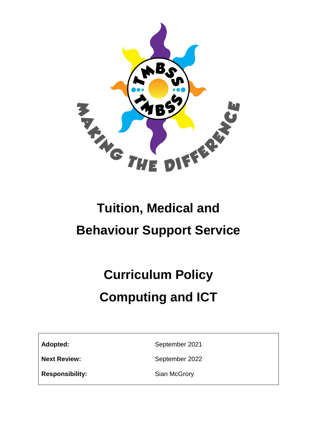

## **Tuition, Medical and Behaviour Support Service**

# **Curriculum Policy Computing and ICT**

Adopted: September 2021

**Next Review:** September 2022

**Responsibility:** Sian McGrory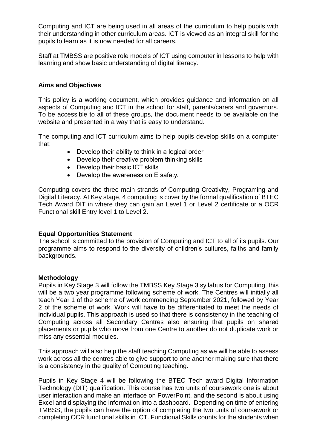Computing and ICT are being used in all areas of the curriculum to help pupils with their understanding in other curriculum areas. ICT is viewed as an integral skill for the pupils to learn as it is now needed for all careers.

Staff at TMBSS are positive role models of ICT using computer in lessons to help with learning and show basic understanding of digital literacy.

#### **Aims and Objectives**

This policy is a working document, which provides guidance and information on all aspects of Computing and ICT in the school for staff, parents/carers and governors. To be accessible to all of these groups, the document needs to be available on the website and presented in a way that is easy to understand.

The computing and ICT curriculum aims to help pupils develop skills on a computer that:

- Develop their ability to think in a logical order
- Develop their creative problem thinking skills
- Develop their basic ICT skills
- Develop the awareness on E safety.

Computing covers the three main strands of Computing Creativity, Programing and Digital Literacy. At Key stage, 4 computing is cover by the formal qualification of BTEC Tech Award DIT in where they can gain an Level 1 or Level 2 certificate or a OCR Functional skill Entry level 1 to Level 2.

#### **Equal Opportunities Statement**

The school is committed to the provision of Computing and ICT to all of its pupils. Our programme aims to respond to the diversity of children's cultures, faiths and family backgrounds.

#### **Methodology**

Pupils in Key Stage 3 will follow the TMBSS Key Stage 3 syllabus for Computing, this will be a two year programme following scheme of work. The Centres will initially all teach Year 1 of the scheme of work commencing September 2021, followed by Year 2 of the scheme of work. Work will have to be differentiated to meet the needs of individual pupils. This approach is used so that there is consistency in the teaching of Computing across all Secondary Centres also ensuring that pupils on shared placements or pupils who move from one Centre to another do not duplicate work or miss any essential modules.

This approach will also help the staff teaching Computing as we will be able to assess work across all the centres able to give support to one another making sure that there is a consistency in the quality of Computing teaching.

Pupils in Key Stage 4 will be following the BTEC Tech award Digital Information Technology (DIT) qualification. This course has two units of coursework one is about user interaction and make an interface on PowerPoint, and the second is about using Excel and displaying the information into a dashboard. Depending on time of entering TMBSS, the pupils can have the option of completing the two units of coursework or completing OCR functional skills in ICT. Functional Skills counts for the students when